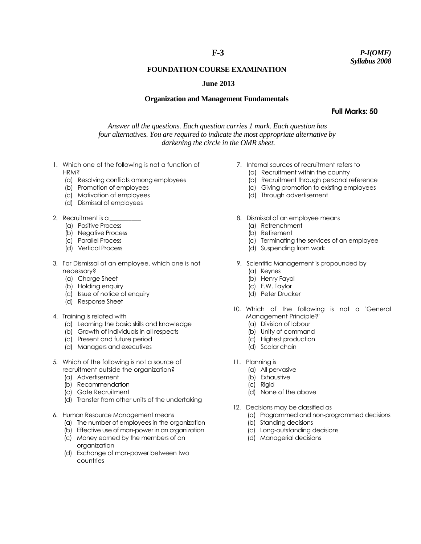# **F-3**

### *P-I(OMF) Syllabus 2008*

## **FOUNDATION COURSE EXAMINATION**

### **June 2013**

### **Organization and Management Fundamentals**

**Full Marks: 50**

*Answer all the questions. Each question carries 1 mark. Each question has four alternatives. You are required to indicate the most appropriate alternative by darkening the circle in the OMR sheet.*

- 1. Which one of the following is not a function of HRM?
	- (a) Resolving conflicts among employees
	- (b) Promotion of employees
	- (c) Motivation of employees
	- (d) Dismissal of employees
- 2. Recruitment is a
	- (a) Positive Process
	- (b) Negative Process
	- (c) Parallel Process
	- (d) Vertical Process
- 3. For Dismissal of an employee, which one is not necessary?
	- (a) Charge Sheet
	- (b) Holding enquiry
	- (c) Issue of notice of enquiry
	- (d) Response Sheet
- 4. Training is related with
	- (a) Learning the basic skills and knowledge
	- (b) Growth of individuals in all respects
	- (c) Present and future period
	- (d) Managers and executives
- 5. Which of the following is not a source of recruitment outside the organization?
	- (a) Advertisement
	- (b) Recommendation
	- (c) Gate Recruitment
	- (d) Transfer from other units of the undertaking
- 6. Human Resource Management means
	- (a) The number of employees in the organization
	- (b) Effective use of man-power in an organization
	- (c) Money earned by the members of an organization
	- (d) Exchange of man-power between two countries
- 7. Internal sources of recruitment refers to
	- (a) Recruitment within the country
	- (b) Recruitment through personal reference
	- (c) Giving promotion to existing employees
	- (d) Through advertisement
- 8. Dismissal of an employee means
	- (a) Retrenchment
	- (b) Retirement
	- (c) Terminating the services of an employee
	- (d) Suspending from work
- 9. Scientific Management is propounded by
	- (a) Keynes
	- (b) Henry Fayol
	- (c) F.W. Taylor
	- (d) Peter Drucker
- 10. Which of the following is not a 'General Management Principle?'
	- (a) Division of labour
	- (b) Unity of command
	- (c) Highest production
	- (d) Scalar chain
- 11. Planning is
	- (a) All pervasive
	- (b) Exhaustive
	- (c) Rigid
	- (d) None of the above
- 12. Decisions may be classified as
	- (a) Programmed and non-programmed decisions
	- (b) Standing decisions
	- (c) Long-outstanding decisions
	- (d) Managerial decisions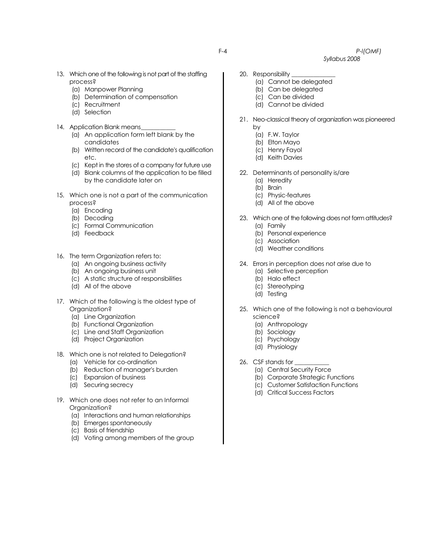### F-4 *P-l(OMF)*

 *Syllabus 2008*

- 13. Which one of the following is not part of the staffing process?
	- (a) Manpower Planning
	- (b) Determination of compensation
	- (c) Recruitment
	- (d) Selection
- 14. Application Blank means
	- (a) An application form left blank by the candidates
	- (b) Written record of the candidate's qualification etc.
	- (c) Kept in the stores of a company for future use
	- (d) Blank columns of the application to be filled by the candidate later on
- 15. Which one is not a part of the communication process?
	- (a) Encoding
	- (b) Decoding
	- (c) Formal Communication
	- (d) Feedback
- 16. The term Organization refers to:
	- (a) An ongoing business activity
	- (b) An ongoing business unit
	- (c) A static structure of responsibilities
	- (d) All of the above
- 17. Which of the following is the oldest type of Organization?
	- (a) Line Organization
	- (b) Functional Organization
	- (c) Line and Staff Organization
	- (d) Project Organization
- 18. Which one is not related to Delegation?
	- (a) Vehicle for co-ordination
	- (b) Reduction of manager's burden
	- (c) Expansion of business
	- (d) Securing secrecy
- 19. Which one does not refer to an Informal Organization?
	- (a) Interactions and human relationships
	- (b) Emerges spontaneously
	- (c) Basis of friendship
	- (d) Voting among members of the group
- 20. Responsibility
	- (a) Cannot be delegated
	- (b) Can be delegated
	- (c) Can be divided
	- (d) Cannot be divided
- 21. Neo-classical theory of organization was pioneered by
	- (a) F.W. Taylor
	- (b) Elton Mayo
	- (c) Henry Fayol
	- (d) Keith Davies
- 22. Determinants of personality is/are
	- (a) Heredity
	- (b) Brain
	- (c) Physic-features
	- (d) All of the above
- 23. Which one of the following does not form attitudes? (a) Family
	- (b) Personal experience
	- (c) Association
	- (d) Weather conditions
- 24. Errors in perception does not arise due to
	- (a) Selective perception
	- (b) Halo effect
	- (c) Stereotyping
	- (d) Testing
- 25. Which one of the following is not a behavioural science?
	- (a) Anthropology
	- (b) Sociology
	- (c) Psychology
	- (d) Physiology
- 26. CSF stands for
	- (a) Central Security Force
	- (b) Corporate Strategic Functions
	- (c) Customer Satisfaction Functions
	- (d) Critical Success Factors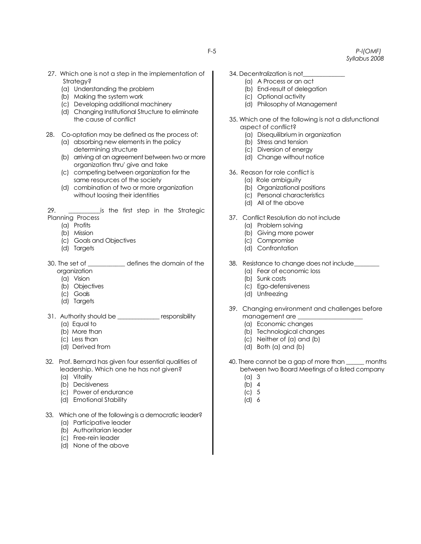F-5 *P-l(OMF) Syllabus 2008*

- 27. Which one is not a step in the implementation of Strategy?
	- (a) Understanding the problem
	- (b) Making the system work
	- (c) Developing additional machinery
	- (d) Changing Institutional Structure to eliminate the cause of conflict
- 28. Co-optation may be defined as the process of:
	- (a) absorbing new elements in the policy determining structure
	- (b) arriving at an agreement between two or more organization thru' give and take
	- (c) competing between organization for the same resources of the society
	- (d) combination of two or more organization without loosing their identities

29. \_\_\_\_\_\_\_\_\_\_\_is the first step in the Strategic Planning Process

- (a) Profits
- (b) Mission
- (c) Goals and Objectives
- (d) Targets
- 30. The set of \_\_\_\_\_\_\_\_\_\_\_\_ defines the domain of the organization
	- (a) Vision
	- (b) Objectives
	- (c) Goals
	- (d) Targets
- 31. Authority should be \_\_\_\_\_\_\_\_\_\_\_\_\_\_ responsibility
	- (a) Equal to
	- (b) More than
	- (c) Less than
	- (d) Derived from
- 32. Prof. Bernard has given four essential qualities of leadership. Which one he has not given?
	- (a) Vitality
	- (b) Decisiveness
	- (c) Power of endurance
	- (d) Emotional Stability
- 33. Which one of the following is a democratic leader?
	- (a) Participative leader
	- (b) Authoritarian leader
	- (c) Free-rein leader
	- (d) None of the above
- 34. Decentralization is not\_\_\_\_\_\_\_\_\_\_\_\_\_\_
	- (a) A Process or an act
	- (b) End-result of delegation
	- (c) Optional activity
	- (d) Philosophy of Management
- 35. Which one of the following is not a disfunctional aspect of conflict?
	- (a) Disequilibrium in organization
	- (b) Stress and tension
	- (c) Diversion of energy
	- (d) Change without notice
- 36. Reason for role conflict is
	- (a) Role ambiguity
	- (b) Organizational positions
	- (c) Personal characteristics
	- (d) All of the above
- 37. Conflict Resolution do not include
	- (a) Problem solving
	- (b) Giving more power
	- (c) Compromise
	- (d) Confrontation
- 38. Resistance to change does not include\_\_\_\_\_\_\_\_
	- (a) Fear of economic loss
	- (b) Sunk costs
	- (c) Ego-defensiveness
	- (d) Unfreezing
- 39. Changing environment and challenges before management are \_
	- (a) Economic changes
	- (b) Technological changes
	- (c) Neither of (a) and (b)
	- (d) Both (a) and (b)
- 40. There cannot be a gap of more than \_\_\_\_\_\_ months between two Board Meetings of a listed company
	- (a) 3
	- (b) 4
	- (c) 5
	- (d) 6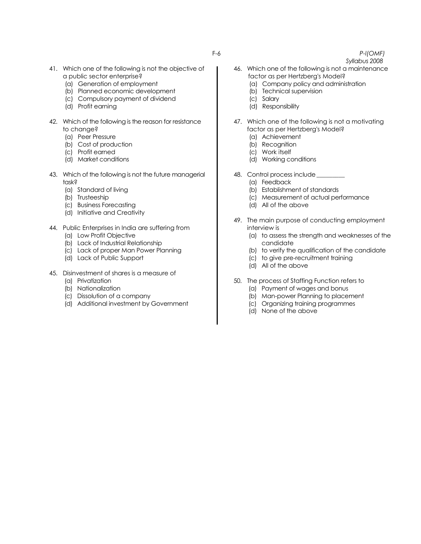- 41. Which one of the following is not the objective of a public sector enterprise?
	- (a) Generation of employment
	- (b) Planned economic development
	- (c) Compulsory payment of dividend
	- (d) Profit earning
- 42. Which of the following is the reason for resistance to change?
	- (a) Peer Pressure
	- (b) Cost of production
	- (c) Profit earned
	- (d) Market conditions
- 43. Which of the following is not the future managerial task?
	- (a) Standard of living
	- (b) Trusteeship
	- (c) Business Forecasting
	- (d) Initiative and Creativity
- 44. Public Enterprises in India are suffering from
	- (a) Low Profit Objective
	- (b) Lack of Industrial Relationship
	- (c) Lack of proper Man Power Planning
	- (d) Lack of Public Support
- 45. Disinvestment of shares is a measure of
	- (a) Privatization
	- (b) Nationalization
	- (c) Dissolution of a company
	- (d) Additional investment by Government
- F-6 *P-l(OMF)*
	- *Syllabus 2008*
	- 46. Which one of the following is not a maintenance factor as per Hertzberg's Model?
		- (a) Company policy and administration
		- (b) Technical supervision
		- (c) Salary
		- (d) Responsibility
	- 47. Which one of the following is not a motivating factor as per Hertzberg's Model?
		- (a) Achievement
		- (b) Recognition
		- (c) Work itself
		- (d) Working conditions
	- 48. Control process include
		- (a) Feedback
		- (b) Establishment of standards
		- (c) Measurement of actual performance
		- (d) All of the above
	- 49. The main purpose of conducting employment interview is
		- (a) to assess the strength and weaknesses of the candidate
		- (b) to verify the qualification of the candidate
		- (c) to give pre-recruitment training
		- (d) All of the above
	- 50. The process of Staffing Function refers to
		- (a) Payment of wages and bonus
		- (b) Man-power Planning to placement
		- (c) Organizing training programmes
		- (d) None of the above